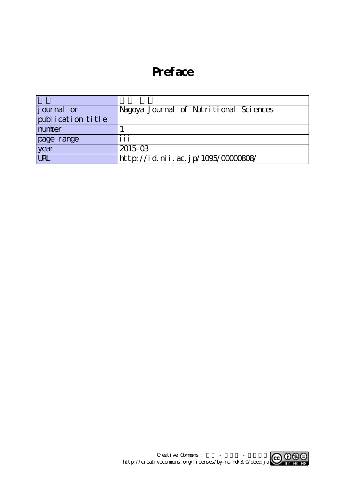## **Preface**

| journal or        | Nagoya Journal of Nutritional Sciences |
|-------------------|----------------------------------------|
| publication title |                                        |
| number            |                                        |
| page range        | iii                                    |
| year              | $2015 \text{ }\Omega$                  |
| URL               | http://id.nii.ac.jp/1095/00000808/     |